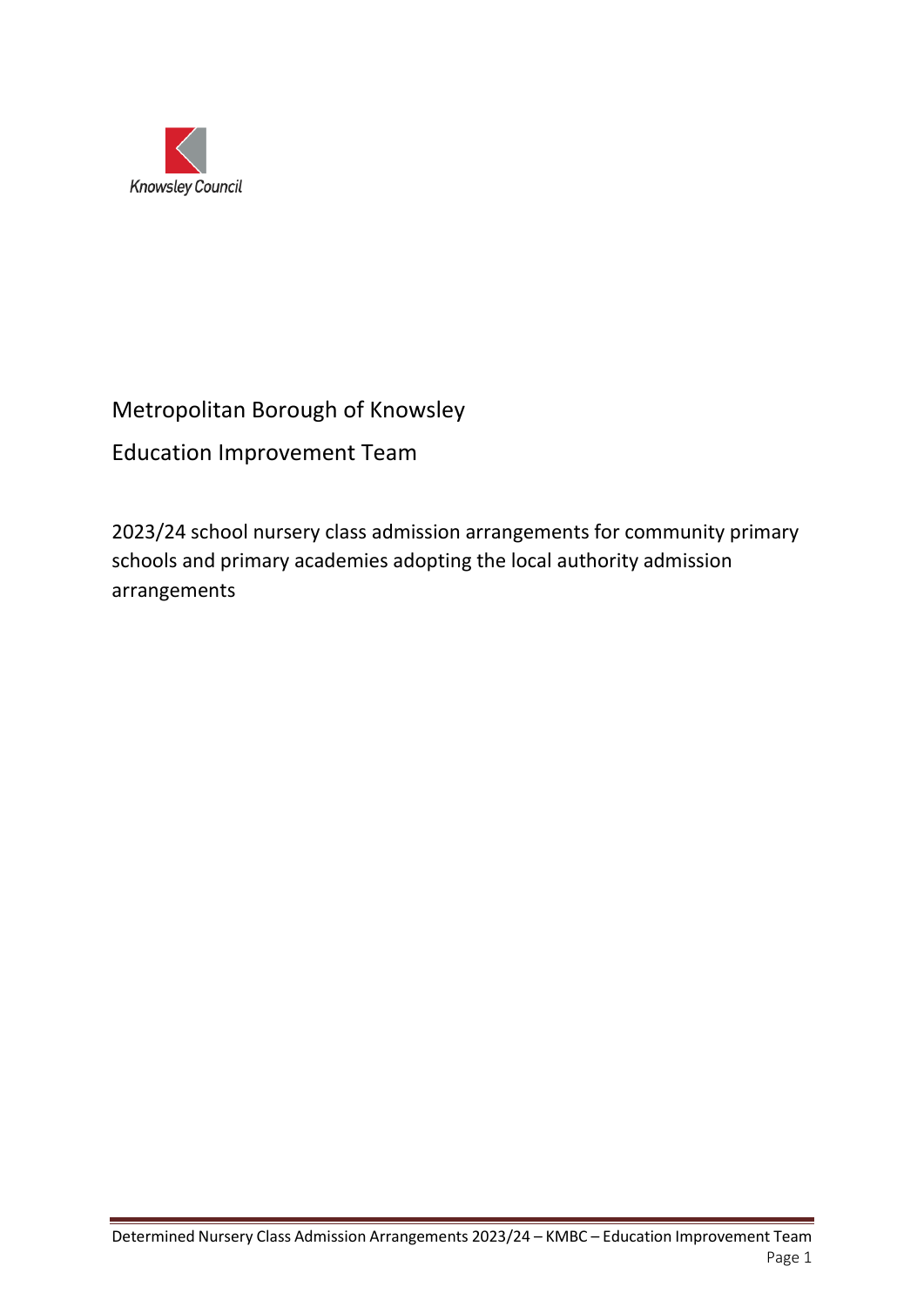

# Metropolitan Borough of Knowsley

# Education Improvement Team

2023/24 school nursery class admission arrangements for community primary schools and primary academies adopting the local authority admission arrangements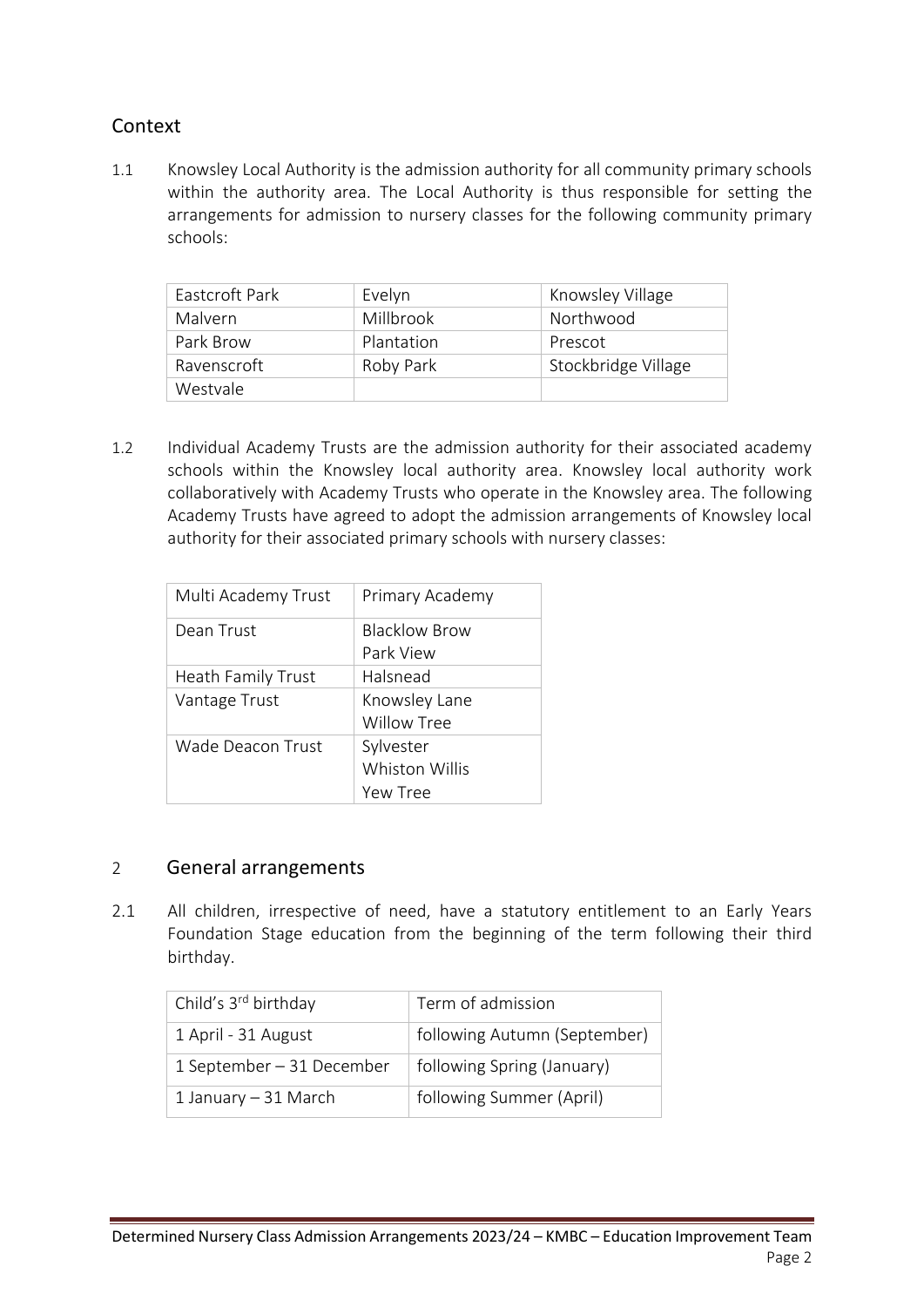## Context

1.1 Knowsley Local Authority is the admission authority for all community primary schools within the authority area. The Local Authority is thus responsible for setting the arrangements for admission to nursery classes for the following community primary schools:

| Eastcroft Park | Evelyn     | Knowsley Village    |
|----------------|------------|---------------------|
| Malvern        | Millbrook  | Northwood           |
| Park Brow      | Plantation | Prescot             |
| Ravenscroft    | Roby Park  | Stockbridge Village |
| Westvale       |            |                     |

1.2 Individual Academy Trusts are the admission authority for their associated academy schools within the Knowsley local authority area. Knowsley local authority work collaboratively with Academy Trusts who operate in the Knowsley area. The following Academy Trusts have agreed to adopt the admission arrangements of Knowsley local authority for their associated primary schools with nursery classes:

| Multi Academy Trust | Primary Academy      |
|---------------------|----------------------|
| Dean Trust          | <b>Blacklow Brow</b> |
|                     | Park View            |
| Heath Family Trust  | Halsnead             |
| Vantage Trust       | Knowsley Lane        |
|                     | Willow Tree          |
| Wade Deacon Trust   | Sylvester            |
|                     | Whiston Willis       |
|                     | Yew Tree             |

### 2 General arrangements

2.1 All children, irrespective of need, have a statutory entitlement to an Early Years Foundation Stage education from the beginning of the term following their third birthday.

| Child's 3 <sup>rd</sup> birthday | Term of admission            |
|----------------------------------|------------------------------|
| 1 April - 31 August              | following Autumn (September) |
| 1 September – 31 December        | following Spring (January)   |
| 1 January $-31$ March            | following Summer (April)     |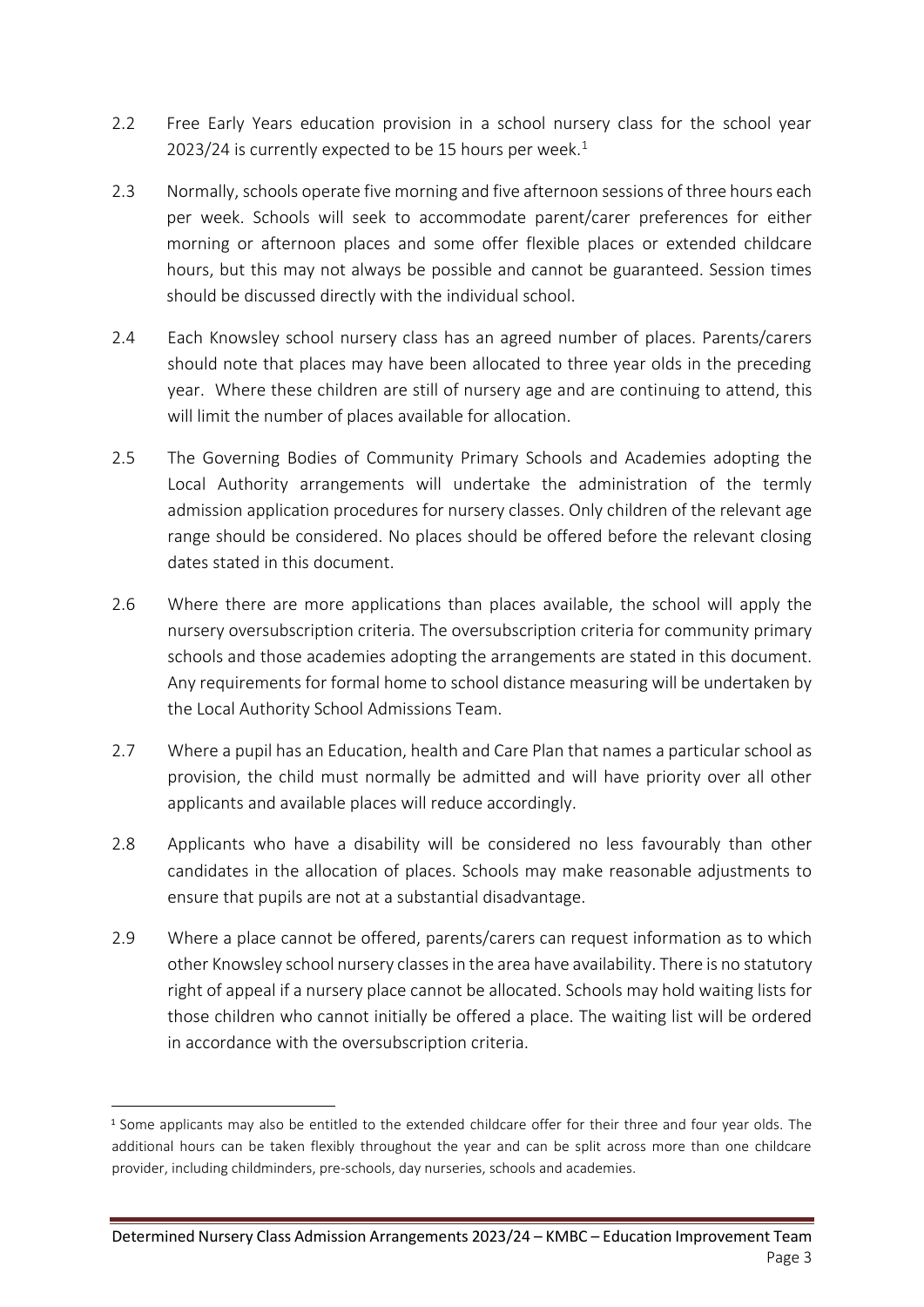- 2.2 Free Early Years education provision in a school nursery class for the school year 2023/24 is currently expected to be 15 hours per week. $1$
- 2.3 Normally, schools operate five morning and five afternoon sessions of three hours each per week. Schools will seek to accommodate parent/carer preferences for either morning or afternoon places and some offer flexible places or extended childcare hours, but this may not always be possible and cannot be guaranteed. Session times should be discussed directly with the individual school.
- 2.4 Each Knowsley school nursery class has an agreed number of places. Parents/carers should note that places may have been allocated to three year olds in the preceding year. Where these children are still of nursery age and are continuing to attend, this will limit the number of places available for allocation.
- 2.5 The Governing Bodies of Community Primary Schools and Academies adopting the Local Authority arrangements will undertake the administration of the termly admission application procedures for nursery classes. Only children of the relevant age range should be considered. No places should be offered before the relevant closing dates stated in this document.
- 2.6 Where there are more applications than places available, the school will apply the nursery oversubscription criteria. The oversubscription criteria for community primary schools and those academies adopting the arrangements are stated in this document. Any requirements for formal home to school distance measuring will be undertaken by the Local Authority School Admissions Team.
- 2.7 Where a pupil has an Education, health and Care Plan that names a particular school as provision, the child must normally be admitted and will have priority over all other applicants and available places will reduce accordingly.
- 2.8 Applicants who have a disability will be considered no less favourably than other candidates in the allocation of places. Schools may make reasonable adjustments to ensure that pupils are not at a substantial disadvantage.
- 2.9 Where a place cannot be offered, parents/carers can request information as to which other Knowsley school nursery classes in the area have availability. There is no statutory right of appeal if a nursery place cannot be allocated. Schools may hold waiting lists for those children who cannot initially be offered a place. The waiting list will be ordered in accordance with the oversubscription criteria.

<sup>1</sup> Some applicants may also be entitled to the extended childcare offer for their three and four year olds. The additional hours can be taken flexibly throughout the year and can be split across more than one childcare provider, including childminders, pre-schools, day nurseries, schools and academies.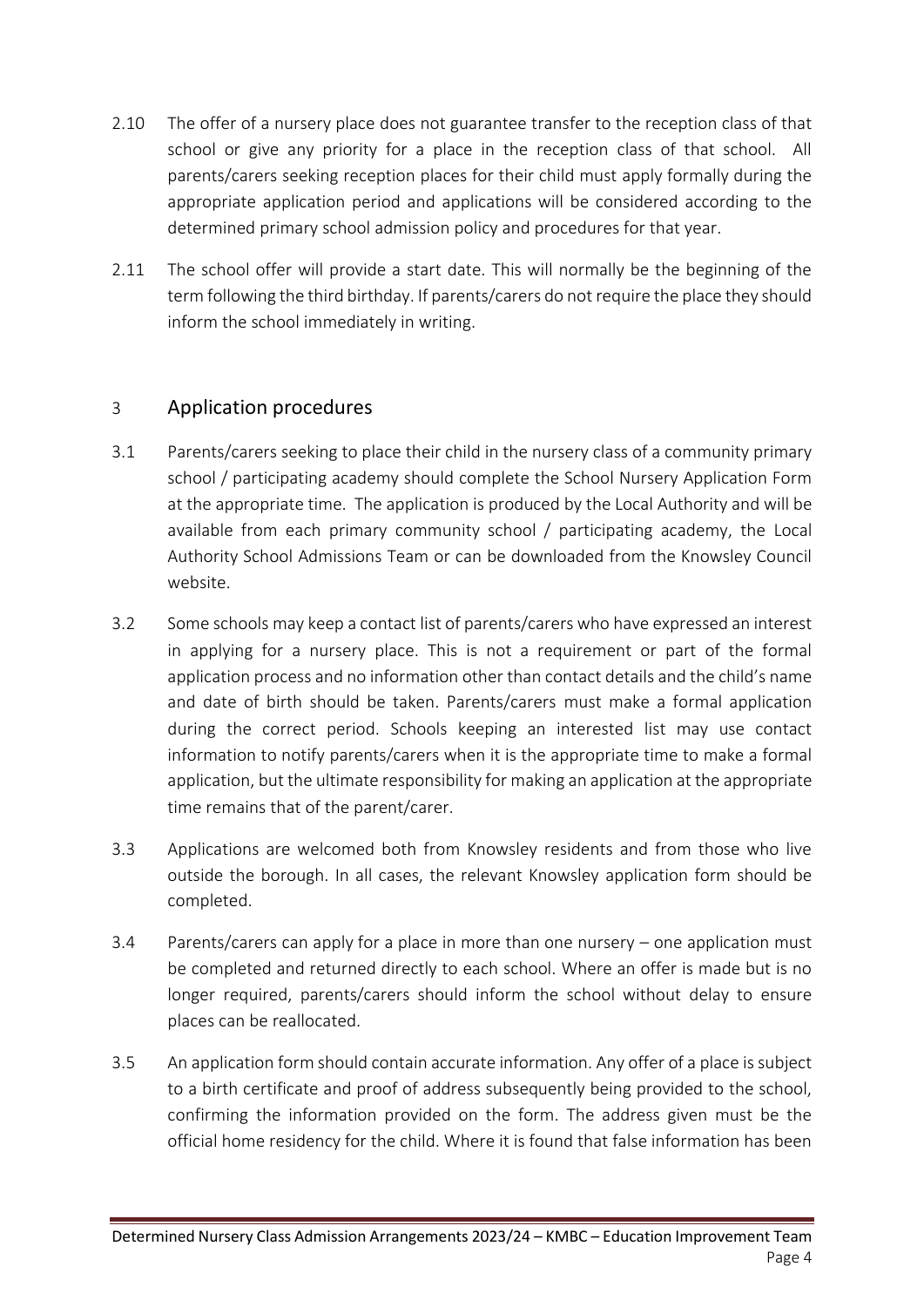- 2.10 The offer of a nursery place does not guarantee transfer to the reception class of that school or give any priority for a place in the reception class of that school. All parents/carers seeking reception places for their child must apply formally during the appropriate application period and applications will be considered according to the determined primary school admission policy and procedures for that year.
- 2.11 The school offer will provide a start date. This will normally be the beginning of the term following the third birthday. If parents/carers do not require the place they should inform the school immediately in writing.

### 3 Application procedures

- 3.1 Parents/carers seeking to place their child in the nursery class of a community primary school / participating academy should complete the School Nursery Application Form at the appropriate time. The application is produced by the Local Authority and will be available from each primary community school / participating academy, the Local Authority School Admissions Team or can be downloaded from the Knowsley Council website.
- 3.2 Some schools may keep a contact list of parents/carers who have expressed an interest in applying for a nursery place. This is not a requirement or part of the formal application process and no information other than contact details and the child's name and date of birth should be taken. Parents/carers must make a formal application during the correct period. Schools keeping an interested list may use contact information to notify parents/carers when it is the appropriate time to make a formal application, but the ultimate responsibility for making an application at the appropriate time remains that of the parent/carer.
- 3.3 Applications are welcomed both from Knowsley residents and from those who live outside the borough. In all cases, the relevant Knowsley application form should be completed.
- 3.4 Parents/carers can apply for a place in more than one nursery one application must be completed and returned directly to each school. Where an offer is made but is no longer required, parents/carers should inform the school without delay to ensure places can be reallocated.
- 3.5 An application form should contain accurate information. Any offer of a place is subject to a birth certificate and proof of address subsequently being provided to the school, confirming the information provided on the form. The address given must be the official home residency for the child. Where it is found that false information has been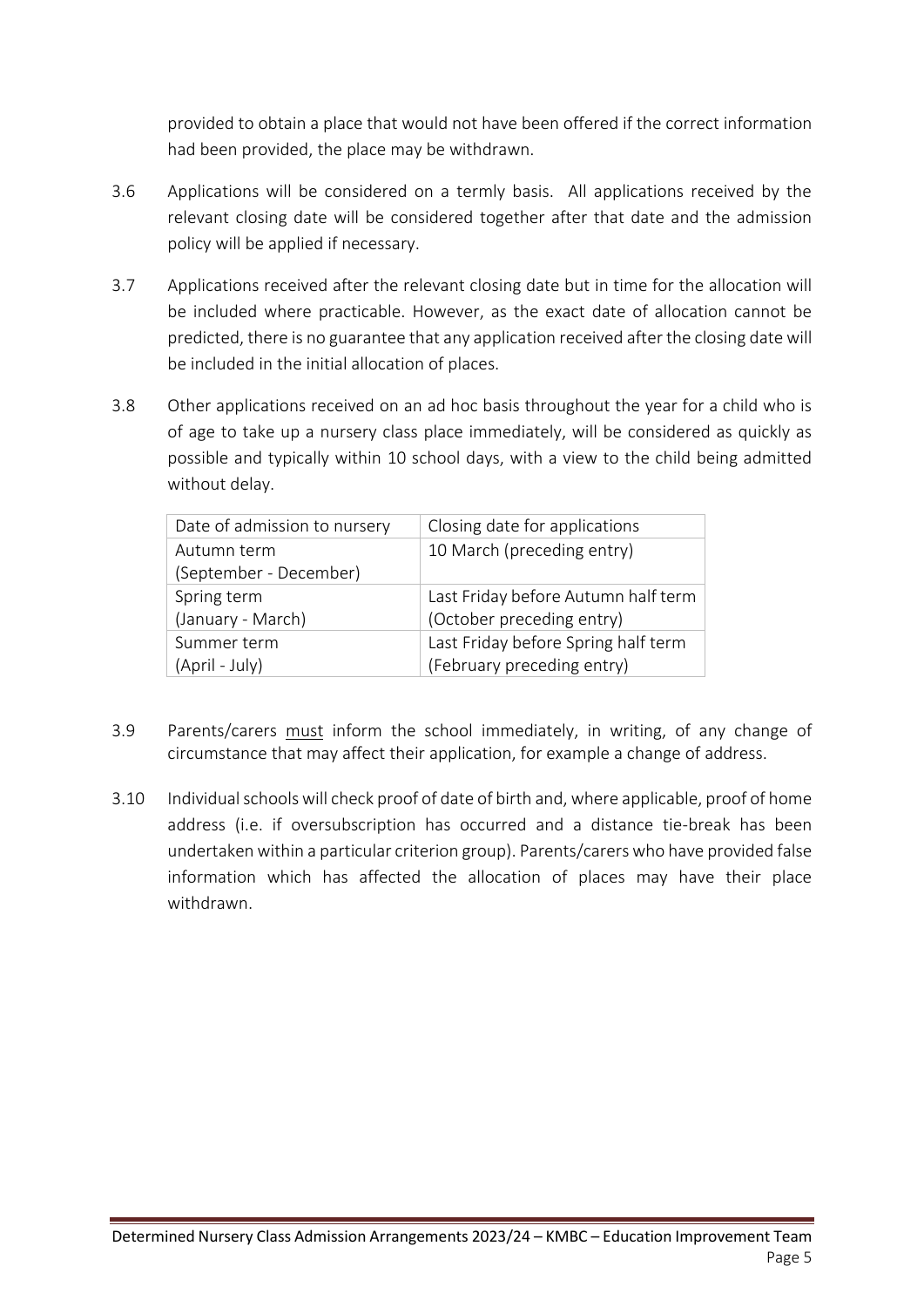provided to obtain a place that would not have been offered if the correct information had been provided, the place may be withdrawn.

- 3.6 Applications will be considered on a termly basis. All applications received by the relevant closing date will be considered together after that date and the admission policy will be applied if necessary.
- 3.7 Applications received after the relevant closing date but in time for the allocation will be included where practicable. However, as the exact date of allocation cannot be predicted, there is no guarantee that any application received after the closing date will be included in the initial allocation of places.
- 3.8 Other applications received on an ad hoc basis throughout the year for a child who is of age to take up a nursery class place immediately, will be considered as quickly as possible and typically within 10 school days, with a view to the child being admitted without delay.

| Date of admission to nursery | Closing date for applications       |
|------------------------------|-------------------------------------|
| Autumn term                  | 10 March (preceding entry)          |
| (September - December)       |                                     |
| Spring term                  | Last Friday before Autumn half term |
| (January - March)            | (October preceding entry)           |
| Summer term                  | Last Friday before Spring half term |
| (April - July)               | (February preceding entry)          |

- 3.9 Parents/carers must inform the school immediately, in writing, of any change of circumstance that may affect their application, for example a change of address.
- 3.10 Individual schools will check proof of date of birth and, where applicable, proof of home address (i.e. if oversubscription has occurred and a distance tie-break has been undertaken within a particular criterion group). Parents/carers who have provided false information which has affected the allocation of places may have their place withdrawn.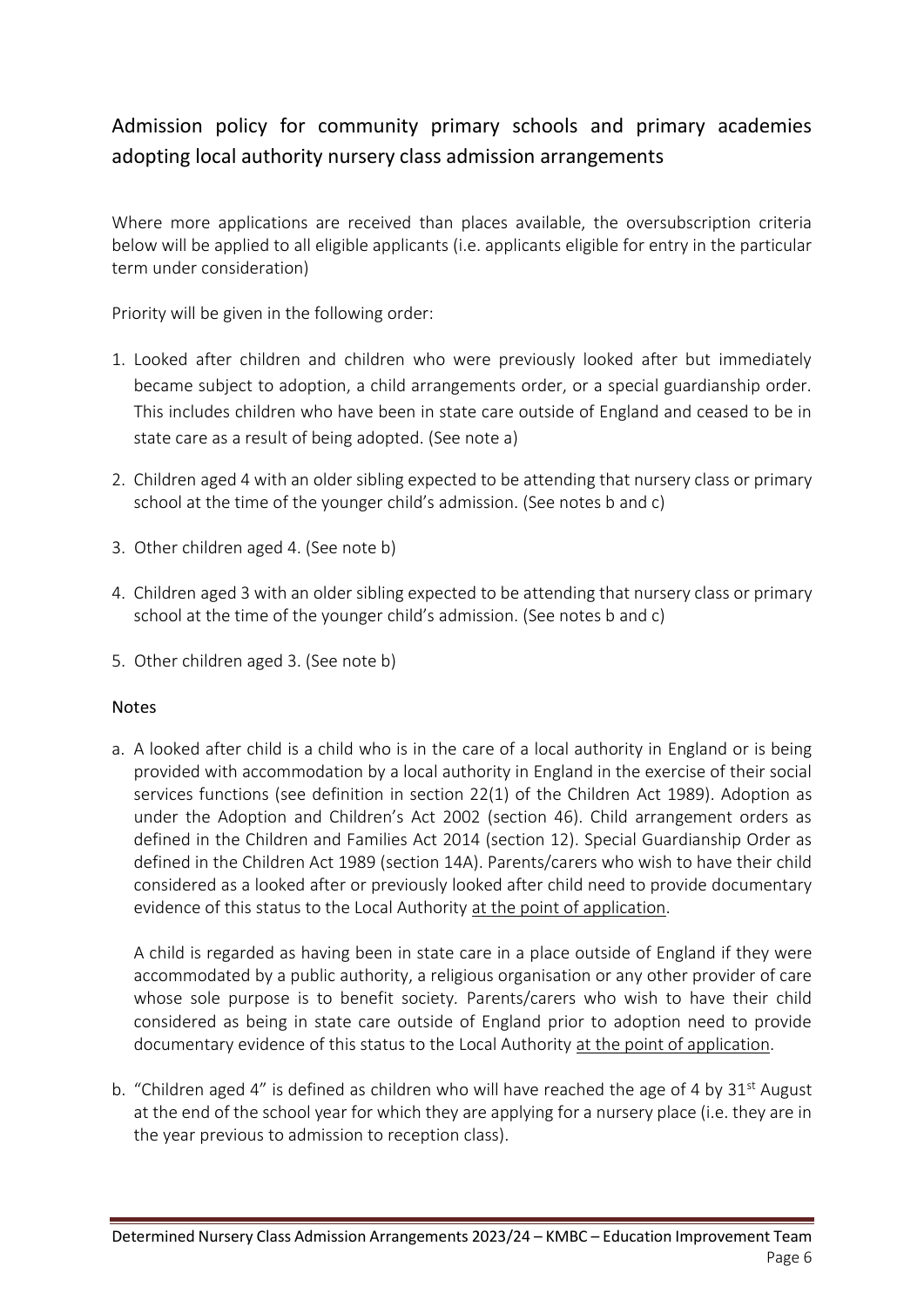# Admission policy for community primary schools and primary academies adopting local authority nursery class admission arrangements

Where more applications are received than places available, the oversubscription criteria below will be applied to all eligible applicants (i.e. applicants eligible for entry in the particular term under consideration)

Priority will be given in the following order:

- 1. Looked after children and children who were previously looked after but immediately became subject to adoption, a child arrangements order, or a special guardianship order. This includes children who have been in state care outside of England and ceased to be in state care as a result of being adopted. (See note a)
- 2. Children aged 4 with an older sibling expected to be attending that nursery class or primary school at the time of the younger child's admission. (See notes b and c)
- 3. Other children aged 4. (See note b)
- 4. Children aged 3 with an older sibling expected to be attending that nursery class or primary school at the time of the younger child's admission. (See notes b and c)
- 5. Other children aged 3. (See note b)

#### Notes

a. A looked after child is a child who is in the care of a local authority in England or is being provided with accommodation by a local authority in England in the exercise of their social services functions (see definition in section 22(1) of the Children Act 1989). Adoption as under the Adoption and Children's Act 2002 (section 46). Child arrangement orders as defined in the Children and Families Act 2014 (section 12). Special Guardianship Order as defined in the Children Act 1989 (section 14A). Parents/carers who wish to have their child considered as a looked after or previously looked after child need to provide documentary evidence of this status to the Local Authority at the point of application.

A child is regarded as having been in state care in a place outside of England if they were accommodated by a public authority, a religious organisation or any other provider of care whose sole purpose is to benefit society*.* Parents/carers who wish to have their child considered as being in state care outside of England prior to adoption need to provide documentary evidence of this status to the Local Authority at the point of application.

b. "Children aged 4" is defined as children who will have reached the age of 4 by  $31^{st}$  August at the end of the school year for which they are applying for a nursery place (i.e. they are in the year previous to admission to reception class).